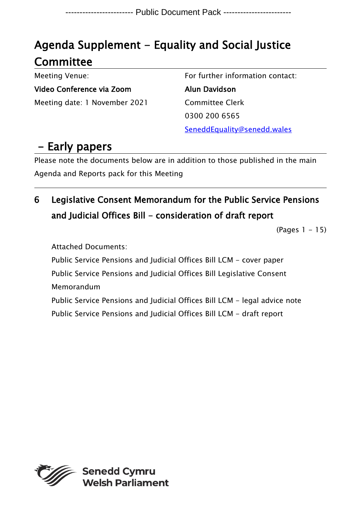# Agenda Supplement - Equality and Social Justice **Committee**

Meeting Venue:

Video Conference via Zoom Meeting date: 1 November 2021 For further information contact:

Alun Davidson Committee Clerk 0300 200 6565 SeneddEquality@senedd.wales

# - Early papers

Please note the documents below are in addition to those published in the main Agenda and Reports pack for this Meeting

# 6 Legislative Consent Memorandum for the Public Service Pensions and Judicial Offices Bill - consideration of draft report

(Pages 1 - 15)

Attached Documents:

Public Service Pensions and Judicial Offices Bill LCM - cover paper Public Service Pensions and Judicial Offices Bill Legislative Consent Memorandum Public Service Pensions and Judicial Offices Bill LCM - legal advice note

Public Service Pensions and Judicial Offices Bill LCM - draft report

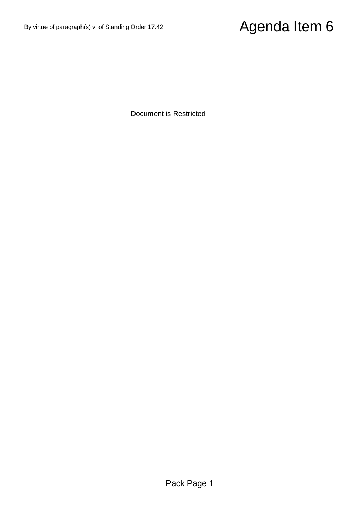# By virtue of paragraph(s) vi of Standing Order 17.42  $\hbox{\bf Agenda Item 6}$ <br>Document is Restricted

Document is Restricted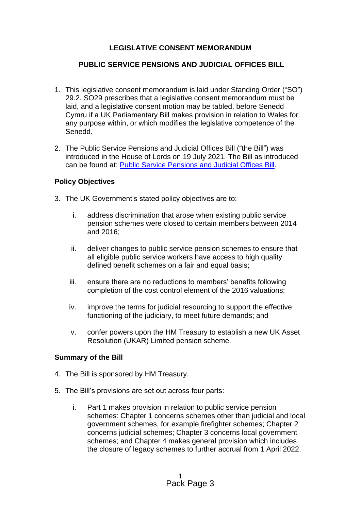# **LEGISLATIVE CONSENT MEMORANDUM**

# **PUBLIC SERVICE PENSIONS AND JUDICIAL OFFICES BILL**

- 1. This legislative consent memorandum is laid under Standing Order ("SO") 29.2. SO29 prescribes that a legislative consent memorandum must be laid, and a legislative consent motion may be tabled, before Senedd Cymru if a UK Parliamentary Bill makes provision in relation to Wales for any purpose within, or which modifies the legislative competence of the Senedd*.*
- 2. The Public Service Pensions and Judicial Offices Bill ("the Bill") was introduced in the House of Lords on 19 July 2021*.* The Bill as introduced can be found at: [Public Service Pensions and Judicial Offices Bill.](https://bills.parliament.uk/publications/42278/documents/567)

### **Policy Objectives**

- 3. The UK Government's stated policy objectives are to:
	- i. address discrimination that arose when existing public service pension schemes were closed to certain members between 2014 and 2016;
	- ii. deliver changes to public service pension schemes to ensure that all eligible public service workers have access to high quality defined benefit schemes on a fair and equal basis;
	- iii. ensure there are no reductions to members' benefits following completion of the cost control element of the 2016 valuations;
	- iv. improve the terms for judicial resourcing to support the effective functioning of the judiciary, to meet future demands; and
	- v. confer powers upon the HM Treasury to establish a new UK Asset Resolution (UKAR) Limited pension scheme.

### **Summary of the Bill**

- 4. The Bill is sponsored by HM Treasury.
- 5. The Bill's provisions are set out across four parts:
	- i. Part 1 makes provision in relation to public service pension schemes: Chapter 1 concerns schemes other than judicial and local government schemes, for example firefighter schemes; Chapter 2 concerns judicial schemes; Chapter 3 concerns local government schemes; and Chapter 4 makes general provision which includes the closure of legacy schemes to further accrual from 1 April 2022.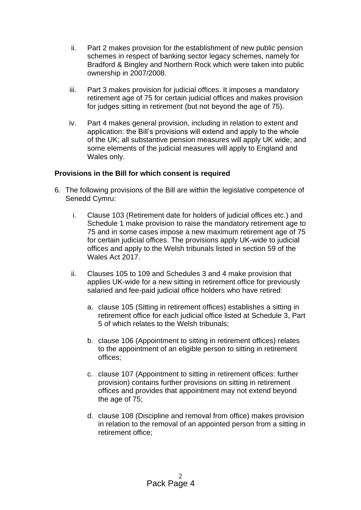- ii. Part 2 makes provision for the establishment of new public pension schemes in respect of banking sector legacy schemes, namely for Bradford & Bingley and Northern Rock which were taken into public ownership in 2007/2008.
- iii. Part 3 makes provision for judicial offices. It imposes a mandatory retirement age of 75 for certain judicial offices and makes provision for judges sitting in retirement (but not beyond the age of 75).
- iv. Part 4 makes general provision, including in relation to extent and application: the Bill's provisions will extend and apply to the whole of the UK; all substantive pension measures will apply UK wide; and some elements of the judicial measures will apply to England and Wales only.

### **Provisions in the Bill for which consent is required**

- 6. The following provisions of the Bill are within the legislative competence of Senedd Cymru:
	- i. Clause 103 (Retirement date for holders of judicial offices etc.) and Schedule 1 make provision to raise the mandatory retirement age to 75 and in some cases impose a new maximum retirement age of 75 for certain judicial offices. The provisions apply UK-wide to judicial offices and apply to the Welsh tribunals listed in section 59 of the Wales Act 2017.
	- ii. Clauses 105 to 109 and Schedules 3 and 4 make provision that applies UK-wide for a new sitting in retirement office for previously salaried and fee-paid judicial office holders who have retired:
		- a. clause 105 (Sitting in retirement offices) establishes a sitting in retirement office for each judicial office listed at Schedule 3, Part 5 of which relates to the Welsh tribunals;
		- b. clause 106 (Appointment to sitting in retirement offices) relates to the appointment of an eligible person to sitting in retirement offices;
		- c. clause 107 (Appointment to sitting in retirement offices: further provision) contains further provisions on sitting in retirement offices and provides that appointment may not extend beyond the age of 75;
		- d. clause 108 (Discipline and removal from office) makes provision in relation to the removal of an appointed person from a sitting in retirement office;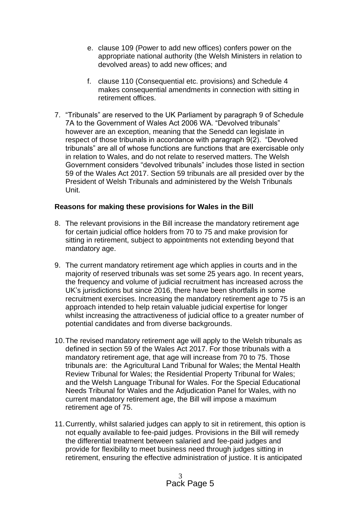- e. clause 109 (Power to add new offices) confers power on the appropriate national authority (the Welsh Ministers in relation to devolved areas) to add new offices; and
- f. clause 110 (Consequential etc. provisions) and Schedule 4 makes consequential amendments in connection with sitting in retirement offices.
- 7. "Tribunals" are reserved to the UK Parliament by paragraph 9 of Schedule 7A to the Government of Wales Act 2006 WA. "Devolved tribunals" however are an exception, meaning that the Senedd can legislate in respect of those tribunals in accordance with paragraph 9(2). "Devolved tribunals" are all of whose functions are functions that are exercisable only in relation to Wales, and do not relate to reserved matters. The Welsh Government considers "devolved tribunals" includes those listed in section 59 of the Wales Act 2017. Section 59 tribunals are all presided over by the President of Welsh Tribunals and administered by the Welsh Tribunals Unit.

### **Reasons for making these provisions for Wales in the Bill**

- 8. The relevant provisions in the Bill increase the mandatory retirement age for certain judicial office holders from 70 to 75 and make provision for sitting in retirement, subject to appointments not extending beyond that mandatory age.
- 9. The current mandatory retirement age which applies in courts and in the majority of reserved tribunals was set some 25 years ago. In recent years, the frequency and volume of judicial recruitment has increased across the UK's jurisdictions but since 2016, there have been shortfalls in some recruitment exercises. Increasing the mandatory retirement age to 75 is an approach intended to help retain valuable judicial expertise for longer whilst increasing the attractiveness of judicial office to a greater number of potential candidates and from diverse backgrounds.
- 10.The revised mandatory retirement age will apply to the Welsh tribunals as defined in section 59 of the Wales Act 2017. For those tribunals with a mandatory retirement age, that age will increase from 70 to 75. Those tribunals are: the Agricultural Land Tribunal for Wales; the Mental Health Review Tribunal for Wales; the Residential Property Tribunal for Wales; and the Welsh Language Tribunal for Wales. For the Special Educational Needs Tribunal for Wales and the Adjudication Panel for Wales, with no current mandatory retirement age, the Bill will impose a maximum retirement age of 75.
- 11.Currently, whilst salaried judges can apply to sit in retirement, this option is not equally available to fee-paid judges. Provisions in the Bill will remedy the differential treatment between salaried and fee-paid judges and provide for flexibility to meet business need through judges sitting in retirement, ensuring the effective administration of justice. It is anticipated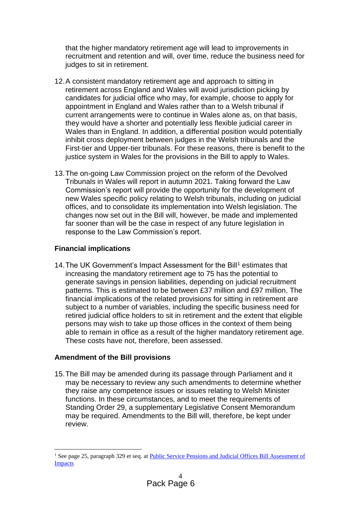that the higher mandatory retirement age will lead to improvements in recruitment and retention and will, over time, reduce the business need for judges to sit in retirement.

- 12.A consistent mandatory retirement age and approach to sitting in retirement across England and Wales will avoid jurisdiction picking by candidates for judicial office who may, for example, choose to apply for appointment in England and Wales rather than to a Welsh tribunal if current arrangements were to continue in Wales alone as, on that basis, they would have a shorter and potentially less flexible judicial career in Wales than in England. In addition, a differential position would potentially inhibit cross deployment between judges in the Welsh tribunals and the First-tier and Upper-tier tribunals. For these reasons, there is benefit to the justice system in Wales for the provisions in the Bill to apply to Wales.
- 13.The on-going Law Commission project on the reform of the Devolved Tribunals in Wales will report in autumn 2021. Taking forward the Law Commission's report will provide the opportunity for the development of new Wales specific policy relating to Welsh tribunals, including on judicial offices, and to consolidate its implementation into Welsh legislation. The changes now set out in the Bill will, however, be made and implemented far sooner than will be the case in respect of any future legislation in response to the Law Commission's report.

# **Financial implications**

14. The UK Government's Impact Assessment for the Bill<sup>1</sup> estimates that increasing the mandatory retirement age to 75 has the potential to generate savings in pension liabilities, depending on judicial recruitment patterns. This is estimated to be between £37 million and £97 million. The financial implications of the related provisions for sitting in retirement are subject to a number of variables, including the specific business need for retired judicial office holders to sit in retirement and the extent that eligible persons may wish to take up those offices in the context of them being able to remain in office as a result of the higher mandatory retirement age. These costs have not, therefore, been assessed.

# **Amendment of the Bill provisions**

15.The Bill may be amended during its passage through Parliament and it may be necessary to review any such amendments to determine whether they raise any competence issues or issues relating to Welsh Minister functions. In these circumstances, and to meet the requirements of Standing Order 29, a supplementary Legislative Consent Memorandum may be required. Amendments to the Bill will, therefore, be kept under review.

<sup>&</sup>lt;sup>1</sup> See page 25, paragraph 329 et seq. at Public Service Pensions and Judicial Offices Bill Assessment of [Impacts](https://bills.parliament.uk/publications/42311/documents/575)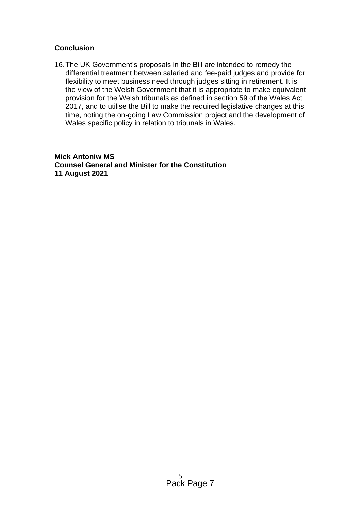# **Conclusion**

16.The UK Government's proposals in the Bill are intended to remedy the differential treatment between salaried and fee-paid judges and provide for flexibility to meet business need through judges sitting in retirement. It is the view of the Welsh Government that it is appropriate to make equivalent provision for the Welsh tribunals as defined in section 59 of the Wales Act 2017, and to utilise the Bill to make the required legislative changes at this time, noting the on-going Law Commission project and the development of Wales specific policy in relation to tribunals in Wales.

**Mick Antoniw MS Counsel General and Minister for the Constitution 11 August 2021**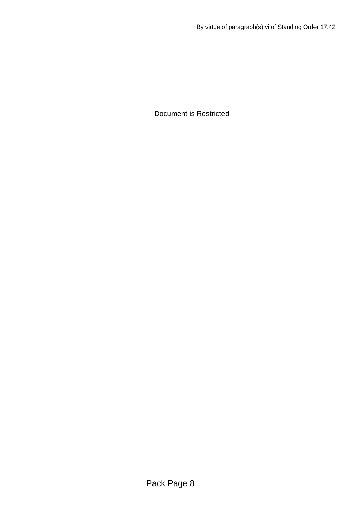Document is Restricted